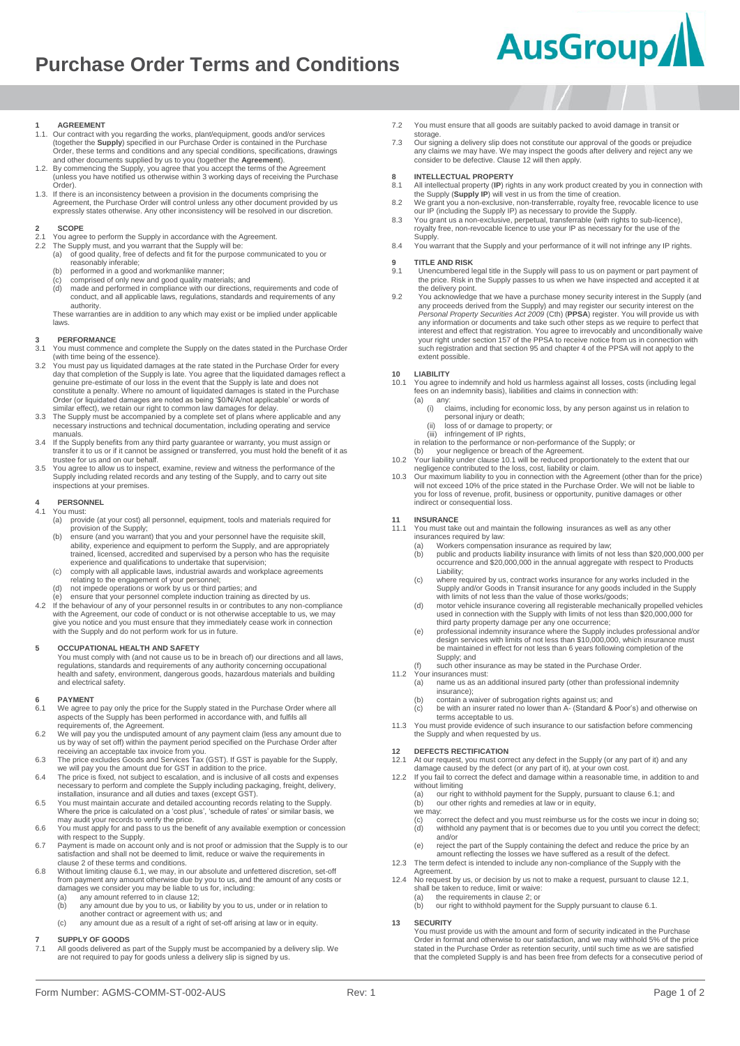# **Purchase Order Terms and Conditions**



#### **1 AGREEMENT**

- 1.1. Our contract with you regarding the works, plant/equipment, goods and/or services (together the **Supply**) specified in our Purchase Order is contained in the Purchase Order, these terms and conditions and any special conditions, specifications, drawings and other documents supplied by us to you (together the **Agreement**).
- 1.2. By commencing the Supply, you agree that you accept the terms of the Agreement (unless you have notified us otherwise within 3 working days of receiving the Purchase Order).
- 1.3. If there is an inconsistency between a provision in the documents comprising the Agreement, the Purchase Order will control unless any other document provided by us expressly states otherwise. Any other inconsistency will be resolved in our discretion.

### <span id="page-0-0"></span>2 **SCOPE**<br>2.1 You agree

- 2.1 You agree to perform the Supply in accordance with the Agreement.<br>2.1 You agree to perform the Supply in accordance with the Supply in Supply on The Supply
- 2.2 The Supply must, and you warrant that the Supply will be: (a) of good quality, free of defects and fit for the purpose communicated to you or reasonably inferable;
	- (b) performed in a good and workmanlike manner; (c) comprised of only new and good quality materials; and
	-
	- (d) made and performed in compliance with our directions, requirements and code of conduct, and all applicable laws, regulations, standards and requirements of any authority. These warranties are in addition to any which may exist or be implied under applicable

laws.

### **3 PERFORMANCE**

- 3.1 You must commence and complete the Supply on the dates stated in the Purchase Order (with time being of the essence).
- 3.2 You must pay us liquidated damages at the rate stated in the Purchase Order for every day that completion of the Supply is late. You agree that the liquidated damages reflect a<br>genuine pre-estimate of our loss in the event that the Supply is late and does not<br>constitute a penalty. Where no amount of liquida Order (or liquidated damages are noted as being '\$0/N/A/not applicable' or words of similar effect), we retain our right to common law damages for delay.
- 3.3 The Supply must be accompanied by a complete set of plans where applicable and any necessary instructions and technical documentation, including operating and service manuals.
- 3.4 If the Supply benefits from any third party guarantee or warranty, you must assign or transfer it to us or if it cannot be assigned or transferred, you must hold the benefit of it as trustee for us and on our behalf.
- 3.5 You agree to allow us to inspect, examine, review and witness the performance of the Supply including related records and any testing of the Supply, and to carry out site inspections at your premises.

#### **4 PERSONNEL**

- You must:<br>(a) prov provide (at your cost) all personnel, equipment, tools and materials required for
	- provision of the Supply; (b) ensure (and you warrant) that you and your personnel have the requisite skill, ability, experience and equipment to perform the Supply, and are appropriately trained, licensed, accredited and supervised by a person who has the requisite experience and qualifications to undertake that supervision;
	- (c) comply with all applicable laws, industrial awards and workplace agreements relating to the engagement of your personnel;
	- (d) not impede operations or work by us or third parties; and (e) ensure that your personnel complete induction training as directed by us.
- 4.2 If the behaviour of any of your personnel results in or contributes to any non-compliance with the Agreement, our code of conduct or is not otherwise acceptable to us, we may give you notice and you must ensure that they immediately cease work in connection with the Supply and do not perform work for us in future.

#### **5 OCCUPATIONAL HEALTH AND SAFETY**

You must comply with (and not cause us to be in breach of) our directions and all laws, regulations, standards and requirements of any authority concerning occupational health and safety, environment, dangerous goods, hazardous materials and building and electrical safety.

# **6 PAYMENT**

- <span id="page-0-1"></span>...............<br>We agree to pay only the price for the Supply stated in the Purchase Order where all aspects of the Supply has been performed in accordance with, and fulfils all requirements of, the Agreement.
- 6.2 We will pay you the undisputed amount of any payment claim (less any amount due to us by way of set off) within the payment period specified on the Purchase Order after receiving an acceptable tax invoice from you.
- 
- 6.3 The price excludes Goods and Services Tax (GST). If GST is payable for the Supply, we will pay you the amount due for GST in addition to the price.<br>6.4 The price is fixed, not subject to escalation, and is inclusive of installation, insurance and all duties and taxes (except GST).
- 6.5 You must maintain accurate and detailed accounting records relating to the Supply. Where the price is calculated on a 'cost plus', 'schedule of rates' or similar basis, we may audit your records to verify the price.
- 6.6 You must apply for and pass to us the benefit of any available exemption or concession with respect to the Supply.
- 6.7 Payment is made on account only and is not proof or admission that the Supply is to our satisfaction and shall not be deemed to limit, reduce or waive the requirements in claus[e 2](#page-0-0) of these terms and conditions.
- 6.8 Without limiting claus[e 6.1,](#page-0-1) we may, in our absolute and unfettered discretion, set-off from payment any amount otherwise due by you to us, and the amount of any costs or damages we consider you may be liable to us for, including:
	- (a) any amount referred to in clause 12;<br>(b) any amount due by you to us, or liab
	- (b) any amount due by you to us, or liability by you to us, under or in relation to another contract or agreement with us; and
	- (c) any amount due as a result of a right of set-off arising at law or in equity.

#### **7 SUPPLY OF GOODS**

7.1 All goods delivered as part of the Supply must be accompanied by a delivery slip. We are not required to pay for goods unless a delivery slip is signed by us.

- 7.2 You must ensure that all goods are suitably packed to avoid damage in transit or
- storage. 7.3 Our signing a delivery slip does not constitute our approval of the goods or prejudice any claims we may have. We may inspect the goods after delivery and reject any we consider to be defective. Claus[e 12](#page-0-2) will then apply.

# **8 INTELLECTUAL PROPERTY**<br>8.1 All intellectual property (IP) rig

- 8.1 All intellectual property (**IP**) rights in any work product created by you in connection with the Supply (**Supply IP**) will vest in us from the time of creation. 8.2 We grant you a non-exclusive, non-transferrable, royalty free, revocable licence to use
- our IP (including the Supply IP) as necessary to provide the Supply. 8.3 You grant us a non-exclusive, perpetual, transferrable (with rights to sub-licence),
- royalty free, non-revocable licence to use your IP as necessary for the use of the Supply.
- 8.4 You warrant that the Supply and your performance of it will not infringe any IP rights.

# **9 TITLE AND RISK**

- 9.1 Unencumbered legal title in the Supply will pass to us on payment or part payment of the price. Risk in the Supply passes to us when we have inspected and accepted it at
- the delivery point. 9.2 You acknowledge that we have a purchase money security interest in the Supply (and any proceeds derived from the Supply) and may register our security interest on the *Personal Property Securities Act 2009* (Cth) (**PPSA**) register. You will provide us with any information or documents and take such other steps as we require to perfect that interest and effect that registration. You agree to irrevocably and unconditionally waive your right under section 157 of the PPSA to receive notice from us in connection with such registration and that section 95 and chapter 4 of the PPSA will not apply to the extent possible.

### **10 LIABILITY**

- <span id="page-0-3"></span>10.1 You agree to indemnify and hold us harmless against all losses, costs (including legal fees on an indemnity basis), liabilities and claims in connection with:
	- (a) any: (i) claims, including for economic loss, by any person against us in relation to
		- personal injury or death; (ii) loss of or damage to property; or
	-
	- (iii) infringement of IP rights, in relation to the performance or non-performance of the Supply; or
- (b) your negligence or breach of the Agreement 10.2 Your liability under claus[e 10.1](#page-0-3) will be reduced proportionately to the extent that our
- negligence contributed to the loss, cost, liability or claim.<br>10.3 Our maximum liability to you in connection with the Agreement (other than for the price)<br>will not exceed 10% of the price stated in the Purchase Order. We you for loss of revenue, profit, business or opportunity, punitive damages or other indirect or consequential loss.

# **11 INSURANCE**

- You must take out and maintain the following insurances as well as any other insurances required by law:
- 
- (a) Workers compensation insurance as required by law; (b) public and products liability insurance with limits of not less than \$20,000,000 per occurrence and \$20,000,000 in the annual aggregate with respect to Products Liability;
- (c) where required by us, contract works insurance for any works included in the Supply and/or Goods in Transit insurance for any goods included in the Supply with limits of not less than the value of those works/goods;
- (d) motor vehicle insurance covering all registerable mechanically propelled vehicles used in connection with the Supply with limits of not less than \$20,000,000 for
- third party property damage per any one occurrence;<br>(e) professional indemnity insurance where the Supply includes professional and/or<br>design services with limits of not less than \$10,000,000, which insurance must be maintained in effect for not less than 6 years following completion of the Supply; and
- such other insurance as may be stated in the Purchase Order.
- 11.2 Your insurances must:<br>(a) name us as an a
	- name us as an additional insured party (other than professional indemnity insurance);
	- (b) contain a waiver of subrogation rights against us; and (c) be with an insurer rated no lower than A- (Standard & Poor's) and otherwise on
	- terms acceptable to us.
- 11.3 You must provide evidence of such insurance to our satisfaction before commencing the Supply and when requested by us.

# <span id="page-0-2"></span>**12 DEFECTS RECTIFICATION**

- <span id="page-0-4"></span>At our request, you must correct any defect in the Supply (or any part of it) and any
- damage caused by the defect (or any part of it), at your own cost. 12.2 If you fail to correct the defect and damage within a reasonable time, in addition to and without limiting
	- our right to withhold payment for the Supply, pursuant to claus[e 6.1;](#page-0-1) and (b) our other rights and remedies at law or in equity,
		-
	- we may: (c) correct the defect and you must reimburse us for the costs we incur in doing so; (d) withhold any payment that is or becomes due to you until you correct the defect;
	- and/or (e) reject the part of the Supply containing the defect and reduce the price by an amount reflecting the losses we have suffered as a result of the defect.
- 12.3 The term defect is intended to include any non-compliance of the Supply with the
- **Agreement**
- 12.4 No request by us, or decision by us not to make a request, pursuant to clause 12.1,<br>shall be taken to reduce, limit or waive:<br>(a) the requirements in claus[e 2;](#page-0-0) or
	- (b) our right to withhold payment for the Supply pursuant to claus[e 6.1.](#page-0-1)
- **13 SECURITY**

#### You must provide us with the amount and form of security indicated in the Purchase Order in format and otherwise to our satisfaction, and we may withhold 5% of the price stated in the Purchase Order as retention security, until such time as we are satisfied that the completed Supply is and has been free from defects for a consecutive period of